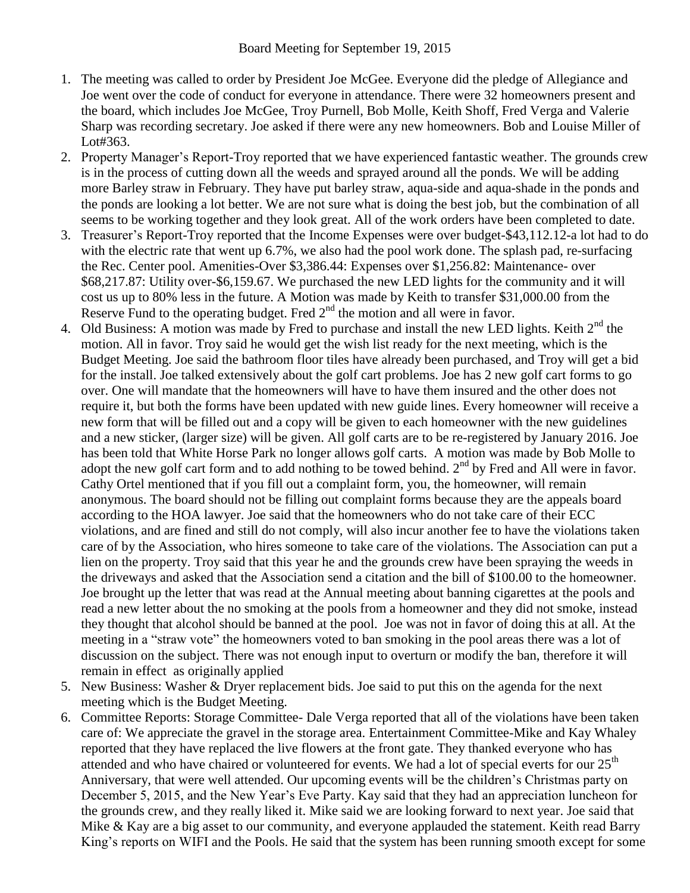- 1. The meeting was called to order by President Joe McGee. Everyone did the pledge of Allegiance and Joe went over the code of conduct for everyone in attendance. There were 32 homeowners present and the board, which includes Joe McGee, Troy Purnell, Bob Molle, Keith Shoff, Fred Verga and Valerie Sharp was recording secretary. Joe asked if there were any new homeowners. Bob and Louise Miller of Lot#363.
- 2. Property Manager's Report-Troy reported that we have experienced fantastic weather. The grounds crew is in the process of cutting down all the weeds and sprayed around all the ponds. We will be adding more Barley straw in February. They have put barley straw, aqua-side and aqua-shade in the ponds and the ponds are looking a lot better. We are not sure what is doing the best job, but the combination of all seems to be working together and they look great. All of the work orders have been completed to date.
- 3. Treasurer's Report-Troy reported that the Income Expenses were over budget-\$43,112.12-a lot had to do with the electric rate that went up 6.7%, we also had the pool work done. The splash pad, re-surfacing the Rec. Center pool. Amenities-Over \$3,386.44: Expenses over \$1,256.82: Maintenance- over \$68,217.87: Utility over-\$6,159.67. We purchased the new LED lights for the community and it will cost us up to 80% less in the future. A Motion was made by Keith to transfer \$31,000.00 from the Reserve Fund to the operating budget. Fred  $2<sup>nd</sup>$  the motion and all were in favor.
- 4. Old Business: A motion was made by Fred to purchase and install the new LED lights. Keith 2<sup>nd</sup> the motion. All in favor. Troy said he would get the wish list ready for the next meeting, which is the Budget Meeting. Joe said the bathroom floor tiles have already been purchased, and Troy will get a bid for the install. Joe talked extensively about the golf cart problems. Joe has 2 new golf cart forms to go over. One will mandate that the homeowners will have to have them insured and the other does not require it, but both the forms have been updated with new guide lines. Every homeowner will receive a new form that will be filled out and a copy will be given to each homeowner with the new guidelines and a new sticker, (larger size) will be given. All golf carts are to be re-registered by January 2016. Joe has been told that White Horse Park no longer allows golf carts. A motion was made by Bob Molle to adopt the new golf cart form and to add nothing to be towed behind.  $2<sup>nd</sup>$  by Fred and All were in favor. Cathy Ortel mentioned that if you fill out a complaint form, you, the homeowner, will remain anonymous. The board should not be filling out complaint forms because they are the appeals board according to the HOA lawyer. Joe said that the homeowners who do not take care of their ECC violations, and are fined and still do not comply, will also incur another fee to have the violations taken care of by the Association, who hires someone to take care of the violations. The Association can put a lien on the property. Troy said that this year he and the grounds crew have been spraying the weeds in the driveways and asked that the Association send a citation and the bill of \$100.00 to the homeowner. Joe brought up the letter that was read at the Annual meeting about banning cigarettes at the pools and read a new letter about the no smoking at the pools from a homeowner and they did not smoke, instead they thought that alcohol should be banned at the pool. Joe was not in favor of doing this at all. At the meeting in a "straw vote" the homeowners voted to ban smoking in the pool areas there was a lot of discussion on the subject. There was not enough input to overturn or modify the ban, therefore it will remain in effect as originally applied
- 5. New Business: Washer & Dryer replacement bids. Joe said to put this on the agenda for the next meeting which is the Budget Meeting.
- 6. Committee Reports: Storage Committee- Dale Verga reported that all of the violations have been taken care of: We appreciate the gravel in the storage area. Entertainment Committee-Mike and Kay Whaley reported that they have replaced the live flowers at the front gate. They thanked everyone who has attended and who have chaired or volunteered for events. We had a lot of special everts for our 25<sup>th</sup> Anniversary, that were well attended. Our upcoming events will be the children's Christmas party on December 5, 2015, and the New Year's Eve Party. Kay said that they had an appreciation luncheon for the grounds crew, and they really liked it. Mike said we are looking forward to next year. Joe said that Mike & Kay are a big asset to our community, and everyone applauded the statement. Keith read Barry King's reports on WIFI and the Pools. He said that the system has been running smooth except for some